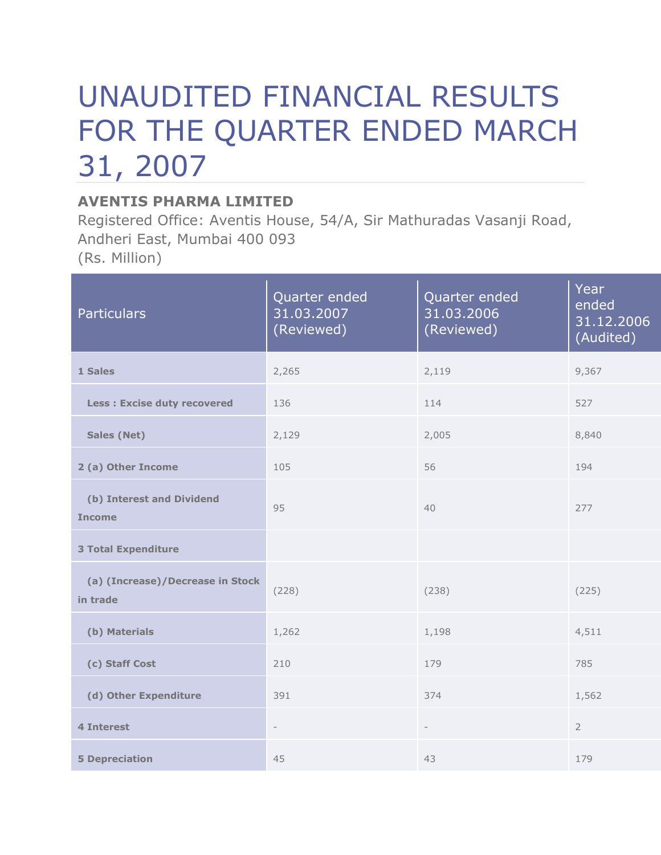## UNAUDITED FINANCIAL RESULTS FOR THE QUARTER ENDED MARCH 31, 2007

## **AVENTIS PHARMA LIMITED**

Registered Office: Aventis House, 54/A, Sir Mathuradas Vasanji Road, Andheri East, Mumbai 400 093 (Rs. Million)

| <b>Particulars</b>                           | Quarter ended<br>31.03.2007<br>(Reviewed) | Quarter ended<br>31.03.2006<br>(Reviewed) | Year<br>ended<br>31.12.2006<br>(Audited) |
|----------------------------------------------|-------------------------------------------|-------------------------------------------|------------------------------------------|
| 1 Sales                                      | 2,265                                     | 2,119                                     | 9,367                                    |
| <b>Less: Excise duty recovered</b>           | 136                                       | 114                                       | 527                                      |
| <b>Sales (Net)</b>                           | 2,129                                     | 2,005                                     | 8,840                                    |
| 2 (a) Other Income                           | 105                                       | 56                                        | 194                                      |
| (b) Interest and Dividend<br><b>Income</b>   | 95                                        | 40                                        | 277                                      |
| <b>3 Total Expenditure</b>                   |                                           |                                           |                                          |
| (a) (Increase)/Decrease in Stock<br>in trade | (228)                                     | (238)                                     | (225)                                    |
| (b) Materials                                | 1,262                                     | 1,198                                     | 4,511                                    |
| (c) Staff Cost                               | 210                                       | 179                                       | 785                                      |
| (d) Other Expenditure                        | 391                                       | 374                                       | 1,562                                    |
| <b>4 Interest</b>                            | $\overline{\phantom{a}}$                  | $\overline{\phantom{a}}$                  | $\overline{2}$                           |
| <b>5 Depreciation</b>                        | 45                                        | 43                                        | 179                                      |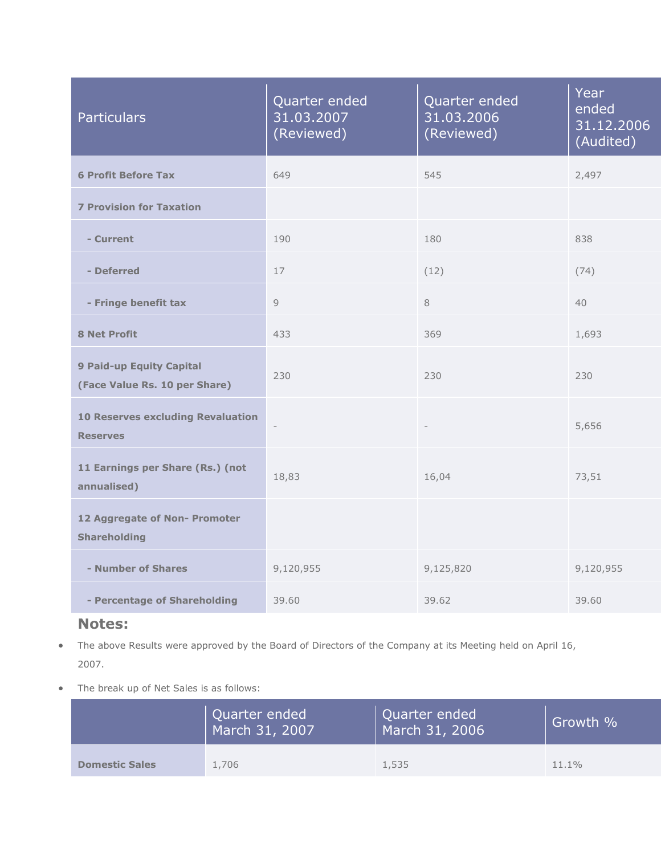| <b>Particulars</b>                                          | Quarter ended<br>31.03.2007<br>(Reviewed) | Quarter ended<br>31.03.2006<br>(Reviewed) | Year<br>ended<br>31.12.2006<br>(Audited) |
|-------------------------------------------------------------|-------------------------------------------|-------------------------------------------|------------------------------------------|
| <b>6 Profit Before Tax</b>                                  | 649                                       | 545                                       | 2,497                                    |
| <b>7 Provision for Taxation</b>                             |                                           |                                           |                                          |
| - Current                                                   | 190                                       | 180                                       | 838                                      |
| - Deferred                                                  | 17                                        | (12)                                      | (74)                                     |
| - Fringe benefit tax                                        | $\overline{9}$                            | 8                                         | 40                                       |
| <b>8 Net Profit</b>                                         | 433                                       | 369                                       | 1,693                                    |
| 9 Paid-up Equity Capital<br>(Face Value Rs. 10 per Share)   | 230                                       | 230                                       | 230                                      |
| <b>10 Reserves excluding Revaluation</b><br><b>Reserves</b> | $\overline{\phantom{a}}$                  | $\overline{\phantom{m}}$                  | 5,656                                    |
| 11 Earnings per Share (Rs.) (not<br>annualised)             | 18,83                                     | 16,04                                     | 73,51                                    |
| 12 Aggregate of Non- Promoter<br><b>Shareholding</b>        |                                           |                                           |                                          |
| - Number of Shares                                          | 9,120,955                                 | 9,125,820                                 | 9,120,955                                |
| - Percentage of Shareholding                                | 39.60                                     | 39.62                                     | 39.60                                    |

## **Notes:**

- The above Results were approved by the Board of Directors of the Company at its Meeting held on April 16, 2007.
- The break up of Net Sales is as follows:

|                       | Quarter ended<br>March 31, 2007 | Quarter ended<br>March 31, 2006 | Growth % |
|-----------------------|---------------------------------|---------------------------------|----------|
| <b>Domestic Sales</b> | 1,706                           | 1,535                           | $11.1\%$ |